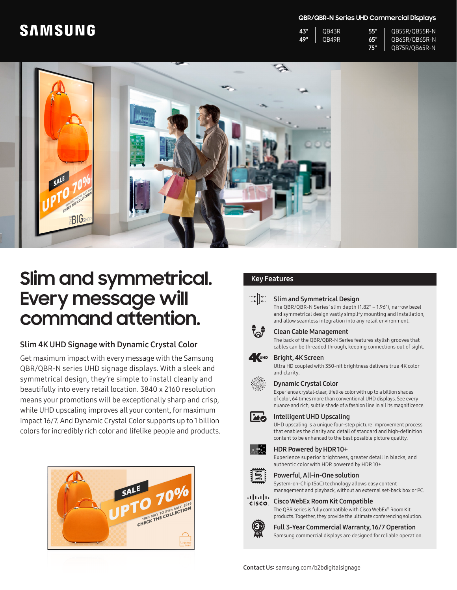# **SAMSUNG**

#### **QBR/QBR-N Series UHD Commercial Displays**

| 43" | OB43R | 65 Y | OB55R/OB55R-N |
|-----|-------|------|---------------|
| 49" | OB49R | 65Y  | OB65R/OB65R-N |
|     |       | 753  | OB75R/OB65R-N |



# **Slim and symmetrical.** Key Features **Every message will command attention.**

### Slim 4K UHD Signage with Dynamic Crystal Color

Get maximum impact with every message with the Samsung QBR/QBR-N series UHD signage displays. With a sleek and symmetrical design, they're simple to install cleanly and beautifully into every retail location. 3840 x 2160 resolution means your promotions will be exceptionally sharp and crisp, while UHD upscaling improves all your content, for maximum impact 16/7. And Dynamic Crystal Color supports up to 1 billion colors for incredibly rich color and lifelike people and products.



#### Slim and Symmetrical Design

The QBR/QBR-N Series' slim depth (1.82" – 1.96"), narrow bezel and symmetrical design vastly simplify mounting and installation, and allow seamless integration into any retail environment.



### Clean Cable Management

The back of the QBR/QBR-N Series features stylish grooves that cables can be threaded through, keeping connections out of sight.

#### **A**UHD Bright, 4K Screen

Ultra HD coupled with 350-nit brightness delivers true 4K color and clarity.

#### Dynamic Crystal Color

Experience crystal-clear, lifelike color with up to a billion shades of color, 64 times more than conventional UHD displays. See every nuance and rich, subtle shade of a fashion line in all its magnificence.



UHD upscaling is a unique four-step picture improvement process that enables the clarity and detail of standard and high-definition content to be enhanced to the best possible picture quality.

#### HDR Powered by HDR 10+





॑ू॑⊹ू

Powerful, All-in-One solution

System-on-Chip (SoC) technology allows easy content management and playback, without an external set-back box or PC.



## Cisco WebEx Room Kit Compatible

The QBR series is fully compatible with Cisco WebEx® Room Kit products. Together, they provide the ultimate conferencing solution.



Full 3-Year Commercial Warranty, 16/7 Operation Samsung commercial displays are designed for reliable operation.